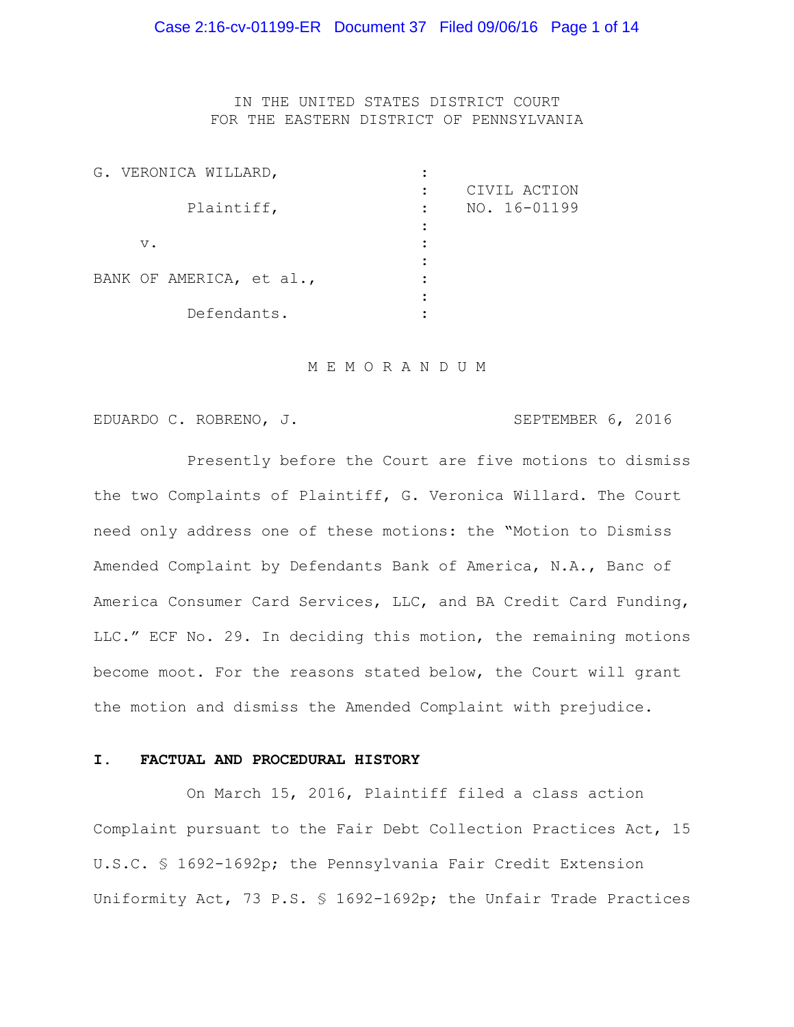IN THE UNITED STATES DISTRICT COURT FOR THE EASTERN DISTRICT OF PENNSYLVANIA

| G. VERONICA WILLARD,     |                                   |  |
|--------------------------|-----------------------------------|--|
| Plaintiff,               | CIVIL ACTION<br>NO. 16-01199<br>٠ |  |
| $V$ .                    |                                   |  |
| BANK OF AMERICA, et al., |                                   |  |
| Defendants.              |                                   |  |

#### M E M O R A N D U M

EDUARDO C. ROBRENO, J. SEPTEMBER 6, 2016

Presently before the Court are five motions to dismiss the two Complaints of Plaintiff, G. Veronica Willard. The Court need only address one of these motions: the "Motion to Dismiss Amended Complaint by Defendants Bank of America, N.A., Banc of America Consumer Card Services, LLC, and BA Credit Card Funding, LLC." ECF No. 29. In deciding this motion, the remaining motions become moot. For the reasons stated below, the Court will grant the motion and dismiss the Amended Complaint with prejudice.

## **I. FACTUAL AND PROCEDURAL HISTORY**

On March 15, 2016, Plaintiff filed a class action Complaint pursuant to the Fair Debt Collection Practices Act, 15 U.S.C. § 1692-1692p; the Pennsylvania Fair Credit Extension Uniformity Act, 73 P.S. § 1692-1692p; the Unfair Trade Practices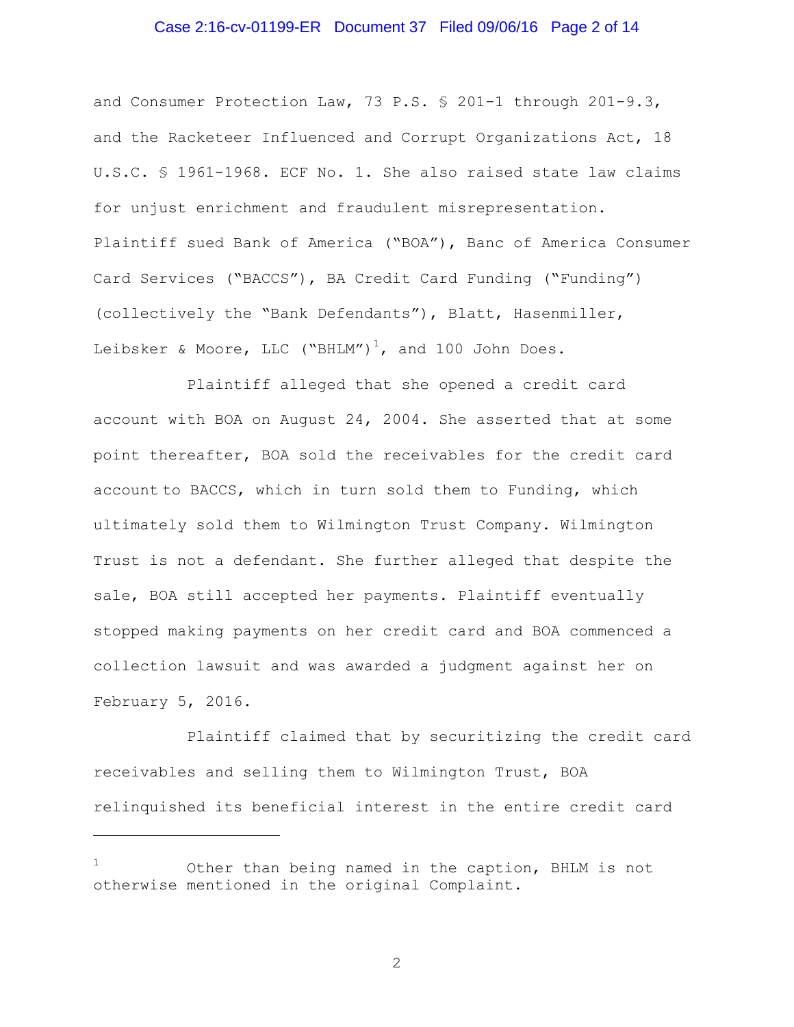## Case 2:16-cv-01199-ER Document 37 Filed 09/06/16 Page 2 of 14

and Consumer Protection Law, 73 P.S. § 201-1 through 201-9.3, and the Racketeer Influenced and Corrupt Organizations Act, 18 U.S.C. § 1961-1968. ECF No. 1. She also raised state law claims for unjust enrichment and fraudulent misrepresentation. Plaintiff sued Bank of America ("BOA"), Banc of America Consumer Card Services ("BACCS"), BA Credit Card Funding ("Funding") (collectively the "Bank Defendants"), Blatt, Hasenmiller, Leibsker & Moore, LLC ("BHLM")<sup>1</sup>, and 100 John Does.

Plaintiff alleged that she opened a credit card account with BOA on August 24, 2004. She asserted that at some point thereafter, BOA sold the receivables for the credit card account to BACCS, which in turn sold them to Funding, which ultimately sold them to Wilmington Trust Company. Wilmington Trust is not a defendant. She further alleged that despite the sale, BOA still accepted her payments. Plaintiff eventually stopped making payments on her credit card and BOA commenced a collection lawsuit and was awarded a judgment against her on February 5, 2016.

Plaintiff claimed that by securitizing the credit card receivables and selling them to Wilmington Trust, BOA relinquished its beneficial interest in the entire credit card

L,

Other than being named in the caption, BHLM is not otherwise mentioned in the original Complaint.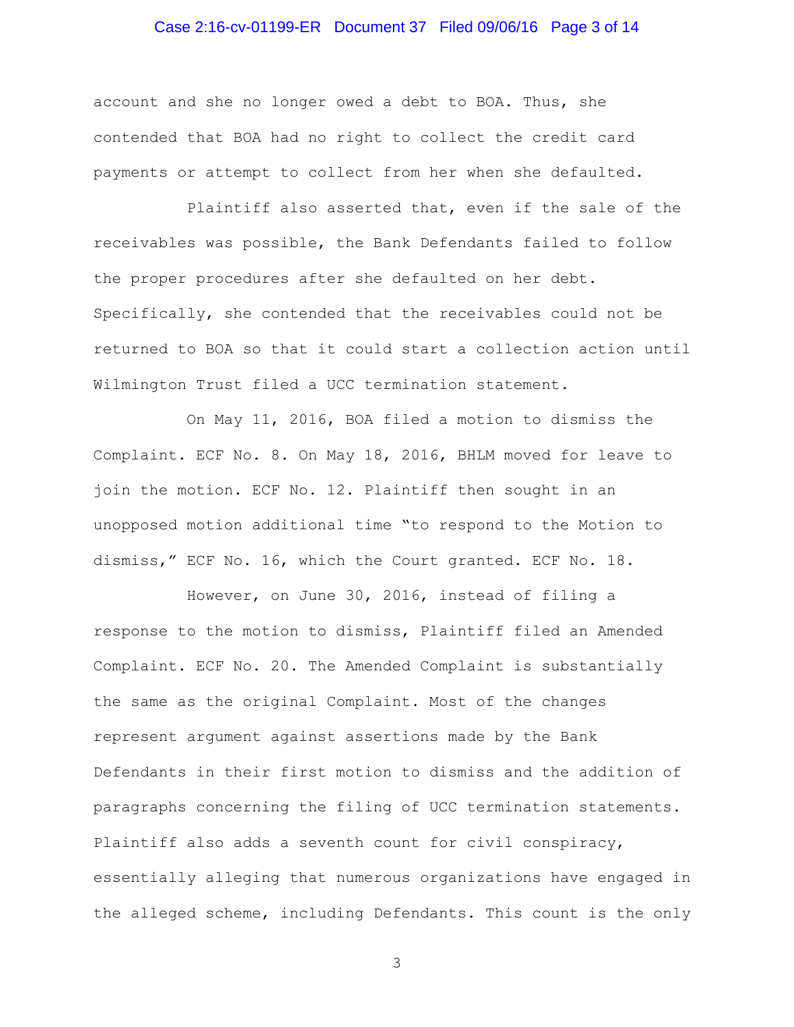## Case 2:16-cv-01199-ER Document 37 Filed 09/06/16 Page 3 of 14

account and she no longer owed a debt to BOA. Thus, she contended that BOA had no right to collect the credit card payments or attempt to collect from her when she defaulted.

Plaintiff also asserted that, even if the sale of the receivables was possible, the Bank Defendants failed to follow the proper procedures after she defaulted on her debt. Specifically, she contended that the receivables could not be returned to BOA so that it could start a collection action until Wilmington Trust filed a UCC termination statement.

On May 11, 2016, BOA filed a motion to dismiss the Complaint. ECF No. 8. On May 18, 2016, BHLM moved for leave to join the motion. ECF No. 12. Plaintiff then sought in an unopposed motion additional time "to respond to the Motion to dismiss," ECF No. 16, which the Court granted. ECF No. 18.

However, on June 30, 2016, instead of filing a response to the motion to dismiss, Plaintiff filed an Amended Complaint. ECF No. 20. The Amended Complaint is substantially the same as the original Complaint. Most of the changes represent argument against assertions made by the Bank Defendants in their first motion to dismiss and the addition of paragraphs concerning the filing of UCC termination statements. Plaintiff also adds a seventh count for civil conspiracy, essentially alleging that numerous organizations have engaged in the alleged scheme, including Defendants. This count is the only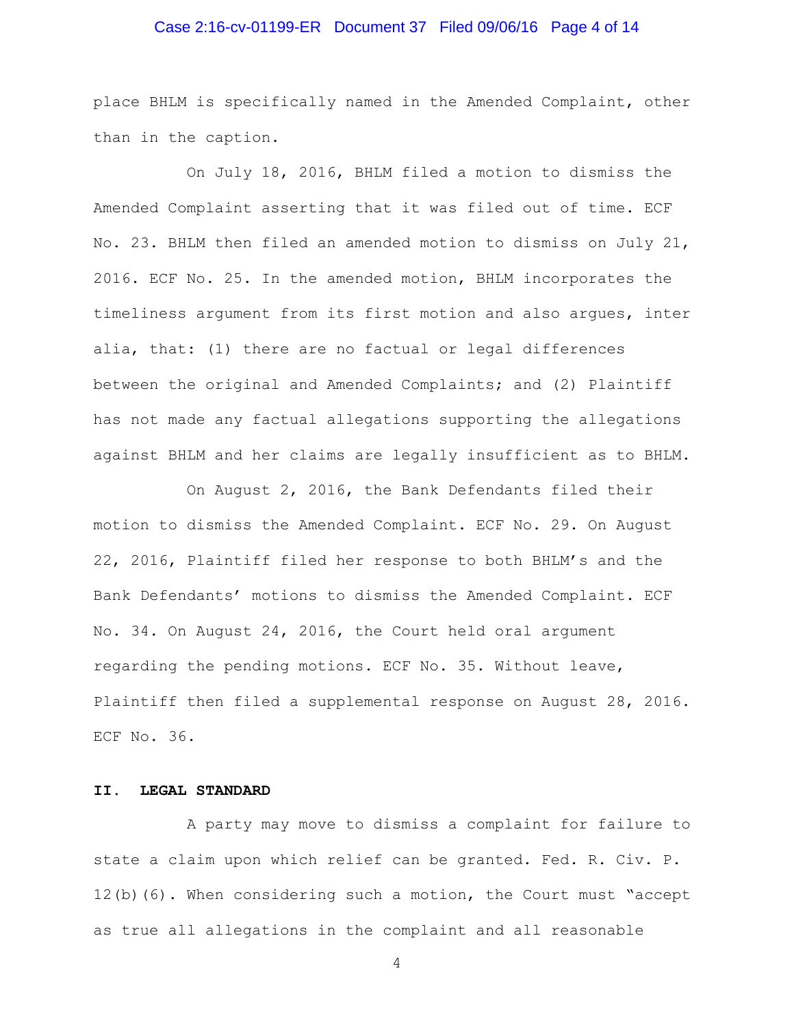## Case 2:16-cv-01199-ER Document 37 Filed 09/06/16 Page 4 of 14

place BHLM is specifically named in the Amended Complaint, other than in the caption.

On July 18, 2016, BHLM filed a motion to dismiss the Amended Complaint asserting that it was filed out of time. ECF No. 23. BHLM then filed an amended motion to dismiss on July 21, 2016. ECF No. 25. In the amended motion, BHLM incorporates the timeliness argument from its first motion and also argues, inter alia, that: (1) there are no factual or legal differences between the original and Amended Complaints; and (2) Plaintiff has not made any factual allegations supporting the allegations against BHLM and her claims are legally insufficient as to BHLM.

On August 2, 2016, the Bank Defendants filed their motion to dismiss the Amended Complaint. ECF No. 29. On August 22, 2016, Plaintiff filed her response to both BHLM's and the Bank Defendants' motions to dismiss the Amended Complaint. ECF No. 34. On August 24, 2016, the Court held oral argument regarding the pending motions. ECF No. 35. Without leave, Plaintiff then filed a supplemental response on August 28, 2016. ECF No. 36.

## **II. LEGAL STANDARD**

A party may move to dismiss a complaint for failure to state a claim upon which relief can be granted. Fed. R. Civ. P. 12(b)(6). When considering such a motion, the Court must "accept as true all allegations in the complaint and all reasonable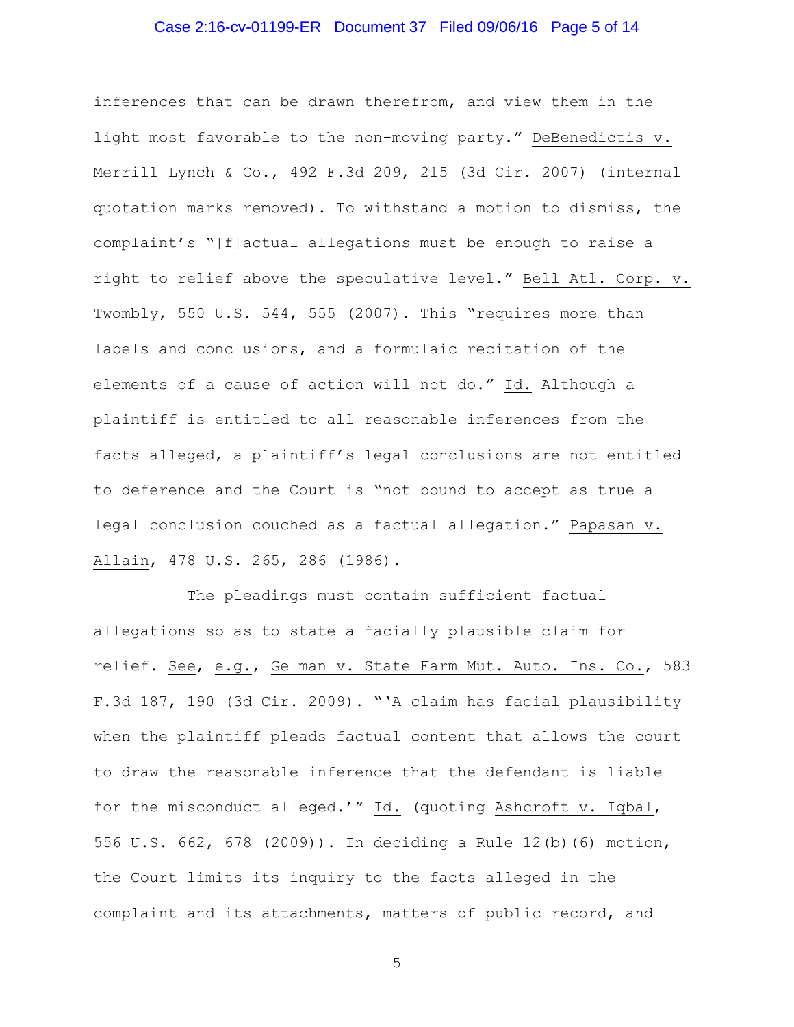## Case 2:16-cv-01199-ER Document 37 Filed 09/06/16 Page 5 of 14

inferences that can be drawn therefrom, and view them in the light most favorable to the non-moving party." DeBenedictis v. Merrill Lynch & Co., 492 F.3d 209, 215 (3d Cir. 2007) (internal quotation marks removed). To withstand a motion to dismiss, the complaint's "[f]actual allegations must be enough to raise a right to relief above the speculative level." Bell Atl. Corp. v. Twombly, 550 U.S. 544, 555 (2007). This "requires more than labels and conclusions, and a formulaic recitation of the elements of a cause of action will not do." Id. Although a plaintiff is entitled to all reasonable inferences from the facts alleged, a plaintiff's legal conclusions are not entitled to deference and the Court is "not bound to accept as true a legal conclusion couched as a factual allegation." Papasan v. Allain, 478 U.S. 265, 286 (1986).

The pleadings must contain sufficient factual allegations so as to state a facially plausible claim for relief. See, e.g., Gelman v. State Farm Mut. Auto. Ins. Co., 583 F.3d 187, 190 (3d Cir. 2009). "'A claim has facial plausibility when the plaintiff pleads factual content that allows the court to draw the reasonable inference that the defendant is liable for the misconduct alleged.'" Id. (quoting Ashcroft v. Iqbal, 556 U.S. 662, 678 (2009)). In deciding a Rule 12(b)(6) motion, the Court limits its inquiry to the facts alleged in the complaint and its attachments, matters of public record, and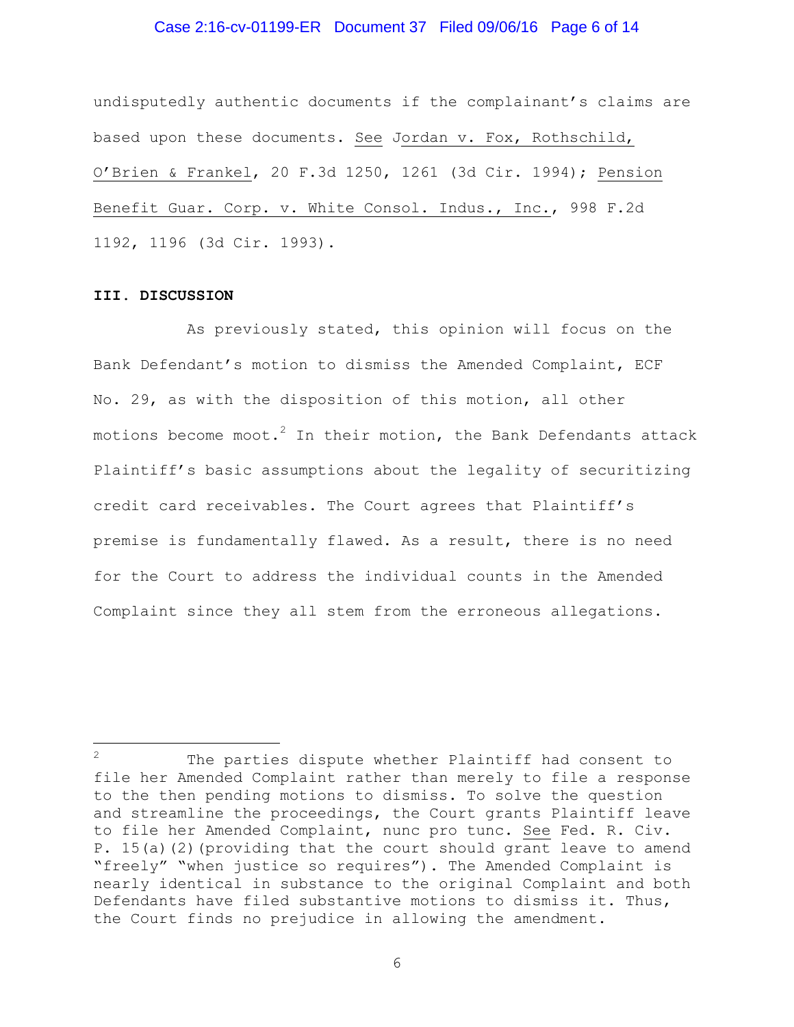### Case 2:16-cv-01199-ER Document 37 Filed 09/06/16 Page 6 of 14

undisputedly authentic documents if the complainant's claims are based upon these documents. See Jordan v. Fox, Rothschild, O'Brien & Frankel, 20 F.3d 1250, 1261 (3d Cir. 1994); Pension Benefit Guar. Corp. v. White Consol. Indus., Inc., 998 F.2d 1192, 1196 (3d Cir. 1993).

#### **III. DISCUSSION**

÷.

As previously stated, this opinion will focus on the Bank Defendant's motion to dismiss the Amended Complaint, ECF No. 29, as with the disposition of this motion, all other motions become moot. $^2$  In their motion, the Bank Defendants attack Plaintiff's basic assumptions about the legality of securitizing credit card receivables. The Court agrees that Plaintiff's premise is fundamentally flawed. As a result, there is no need for the Court to address the individual counts in the Amended Complaint since they all stem from the erroneous allegations.

The parties dispute whether Plaintiff had consent to file her Amended Complaint rather than merely to file a response to the then pending motions to dismiss. To solve the question and streamline the proceedings, the Court grants Plaintiff leave to file her Amended Complaint, nunc pro tunc. See Fed. R. Civ. P. 15(a)(2)(providing that the court should grant leave to amend "freely" "when justice so requires"). The Amended Complaint is nearly identical in substance to the original Complaint and both Defendants have filed substantive motions to dismiss it. Thus, the Court finds no prejudice in allowing the amendment.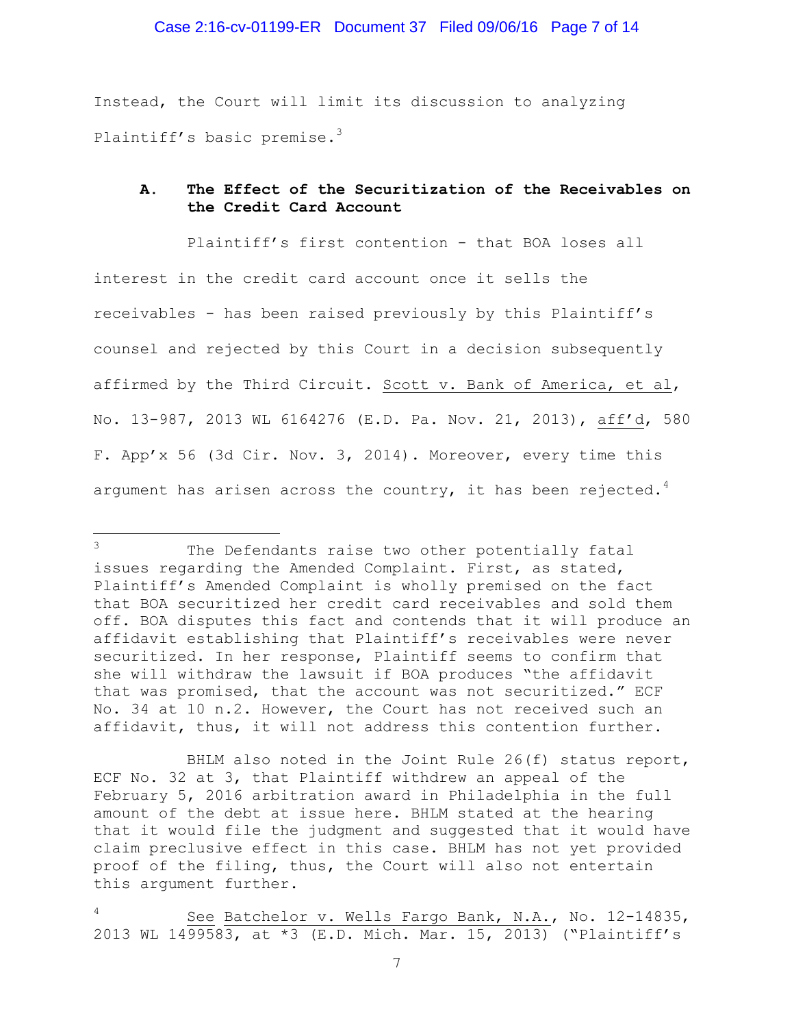Instead, the Court will limit its discussion to analyzing Plaintiff's basic premise.<sup>3</sup>

# **A. The Effect of the Securitization of the Receivables on the Credit Card Account**

Plaintiff's first contention - that BOA loses all interest in the credit card account once it sells the receivables - has been raised previously by this Plaintiff's counsel and rejected by this Court in a decision subsequently affirmed by the Third Circuit. Scott v. Bank of America, et al, No. 13-987, 2013 WL 6164276 (E.D. Pa. Nov. 21, 2013), aff'd, 580 F. App'x 56 (3d Cir. Nov. 3, 2014). Moreover, every time this argument has arisen across the country, it has been rejected.<sup>4</sup>

÷.

The Defendants raise two other potentially fatal issues regarding the Amended Complaint. First, as stated, Plaintiff's Amended Complaint is wholly premised on the fact that BOA securitized her credit card receivables and sold them off. BOA disputes this fact and contends that it will produce an affidavit establishing that Plaintiff's receivables were never securitized. In her response, Plaintiff seems to confirm that she will withdraw the lawsuit if BOA produces "the affidavit that was promised, that the account was not securitized." ECF No. 34 at 10 n.2. However, the Court has not received such an affidavit, thus, it will not address this contention further.

BHLM also noted in the Joint Rule 26(f) status report, ECF No. 32 at 3, that Plaintiff withdrew an appeal of the February 5, 2016 arbitration award in Philadelphia in the full amount of the debt at issue here. BHLM stated at the hearing that it would file the judgment and suggested that it would have claim preclusive effect in this case. BHLM has not yet provided proof of the filing, thus, the Court will also not entertain this argument further.

See Batchelor v. Wells Fargo Bank, N.A., No. 12-14835, 2013 WL 1499583, at \*3 (E.D. Mich. Mar. 15, 2013) ("Plaintiff's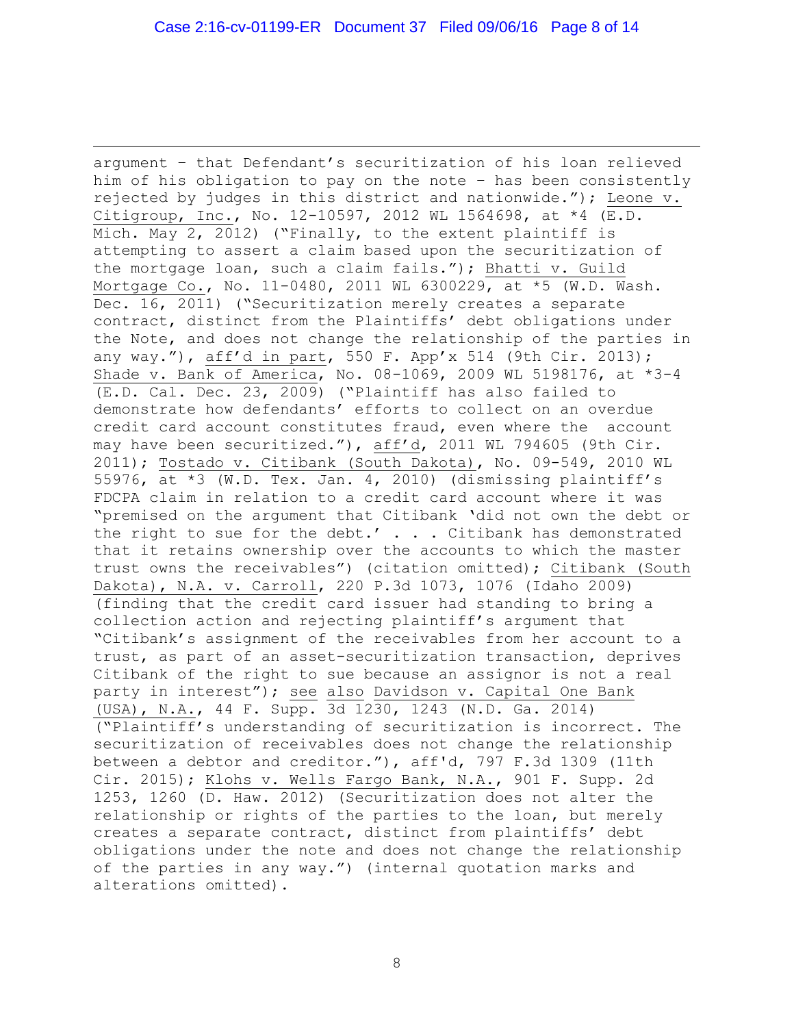÷. argument – that Defendant's securitization of his loan relieved him of his obligation to pay on the note – has been consistently rejected by judges in this district and nationwide."); Leone v. Citigroup, Inc., No. 12-10597, 2012 WL 1564698, at \*4 (E.D. Mich. May 2, 2012) ("Finally, to the extent plaintiff is attempting to assert a claim based upon the securitization of the mortgage loan, such a claim fails."); Bhatti v. Guild Mortgage Co., No. 11-0480, 2011 WL 6300229, at \*5 (W.D. Wash. Dec. 16, 2011) ("Securitization merely creates a separate contract, distinct from the Plaintiffs' debt obligations under the Note, and does not change the relationship of the parties in any way."), aff'd in part, 550 F. App'x 514 (9th Cir. 2013); Shade v. Bank of America, No. 08-1069, 2009 WL 5198176, at \*3-4 (E.D. Cal. Dec. 23, 2009) ("Plaintiff has also failed to demonstrate how defendants' efforts to collect on an overdue credit card account constitutes fraud, even where the account may have been securitized."), aff'd, 2011 WL 794605 (9th Cir. 2011); Tostado v. Citibank (South Dakota), No. 09-549, 2010 WL 55976, at \*3 (W.D. Tex. Jan. 4, 2010) (dismissing plaintiff's FDCPA claim in relation to a credit card account where it was "premised on the argument that Citibank 'did not own the debt or the right to sue for the debt.' . . . Citibank has demonstrated that it retains ownership over the accounts to which the master trust owns the receivables") (citation omitted); Citibank (South Dakota), N.A. v. Carroll, 220 P.3d 1073, 1076 (Idaho 2009) (finding that the credit card issuer had standing to bring a collection action and rejecting plaintiff's argument that "Citibank's assignment of the receivables from her account to a trust, as part of an asset-securitization transaction, deprives Citibank of the right to sue because an assignor is not a real party in interest"); see also Davidson v. Capital One Bank (USA), N.A., 44 F. Supp. 3d 1230, 1243 (N.D. Ga. 2014) ("Plaintiff's understanding of securitization is incorrect. The securitization of receivables does not change the relationship between a debtor and creditor."), aff'd, 797 F.3d 1309 (11th Cir. 2015); Klohs v. Wells Fargo Bank, N.A., 901 F. Supp. 2d 1253, 1260 (D. Haw. 2012) (Securitization does not alter the relationship or rights of the parties to the loan, but merely creates a separate contract, distinct from plaintiffs' debt obligations under the note and does not change the relationship of the parties in any way.") (internal quotation marks and alterations omitted).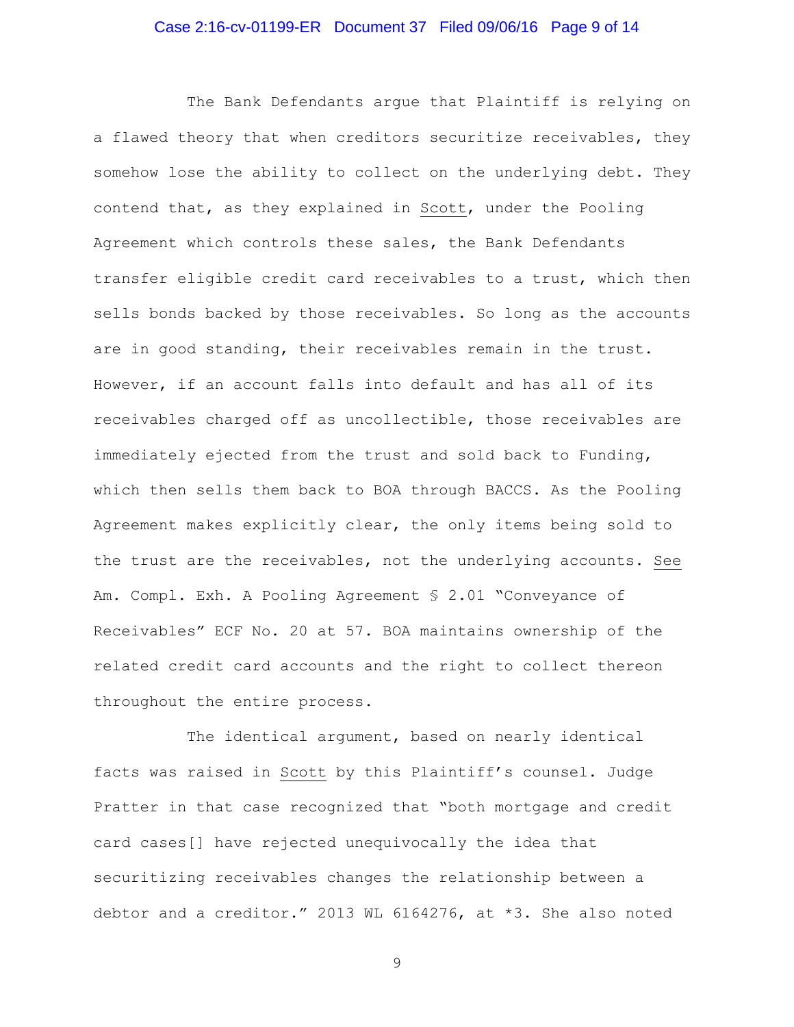## Case 2:16-cv-01199-ER Document 37 Filed 09/06/16 Page 9 of 14

The Bank Defendants argue that Plaintiff is relying on a flawed theory that when creditors securitize receivables, they somehow lose the ability to collect on the underlying debt. They contend that, as they explained in Scott, under the Pooling Agreement which controls these sales, the Bank Defendants transfer eligible credit card receivables to a trust, which then sells bonds backed by those receivables. So long as the accounts are in good standing, their receivables remain in the trust. However, if an account falls into default and has all of its receivables charged off as uncollectible, those receivables are immediately ejected from the trust and sold back to Funding, which then sells them back to BOA through BACCS. As the Pooling Agreement makes explicitly clear, the only items being sold to the trust are the receivables, not the underlying accounts. See Am. Compl. Exh. A Pooling Agreement § 2.01 "Conveyance of Receivables" ECF No. 20 at 57. BOA maintains ownership of the related credit card accounts and the right to collect thereon throughout the entire process.

The identical argument, based on nearly identical facts was raised in Scott by this Plaintiff's counsel. Judge Pratter in that case recognized that "both mortgage and credit card cases[] have rejected unequivocally the idea that securitizing receivables changes the relationship between a debtor and a creditor." 2013 WL 6164276, at \*3. She also noted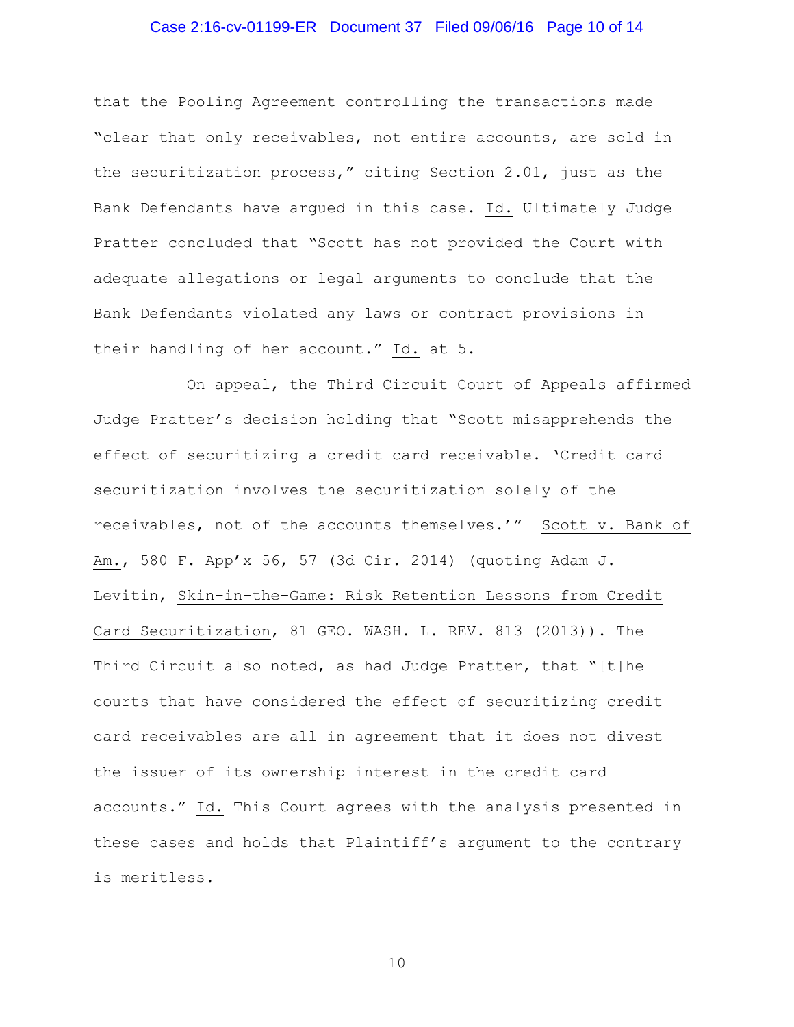## Case 2:16-cv-01199-ER Document 37 Filed 09/06/16 Page 10 of 14

that the Pooling Agreement controlling the transactions made "clear that only receivables, not entire accounts, are sold in the securitization process," citing Section 2.01, just as the Bank Defendants have argued in this case. Id. Ultimately Judge Pratter concluded that "Scott has not provided the Court with adequate allegations or legal arguments to conclude that the Bank Defendants violated any laws or contract provisions in their handling of her account." Id. at 5.

On appeal, the Third Circuit Court of Appeals affirmed Judge Pratter's decision holding that "Scott misapprehends the effect of securitizing a credit card receivable. 'Credit card securitization involves the securitization solely of the receivables, not of the accounts themselves.'" Scott v. Bank of Am., 580 F. App'x 56, 57 (3d Cir. 2014) (quoting Adam J. Levitin, Skin–in–the–Game: Risk Retention Lessons from Credit Card Securitization, 81 GEO. WASH. L. REV. 813 (2013)). The Third Circuit also noted, as had Judge Pratter, that "[t]he courts that have considered the effect of securitizing credit card receivables are all in agreement that it does not divest the issuer of its ownership interest in the credit card accounts." Id. This Court agrees with the analysis presented in these cases and holds that Plaintiff's argument to the contrary is meritless.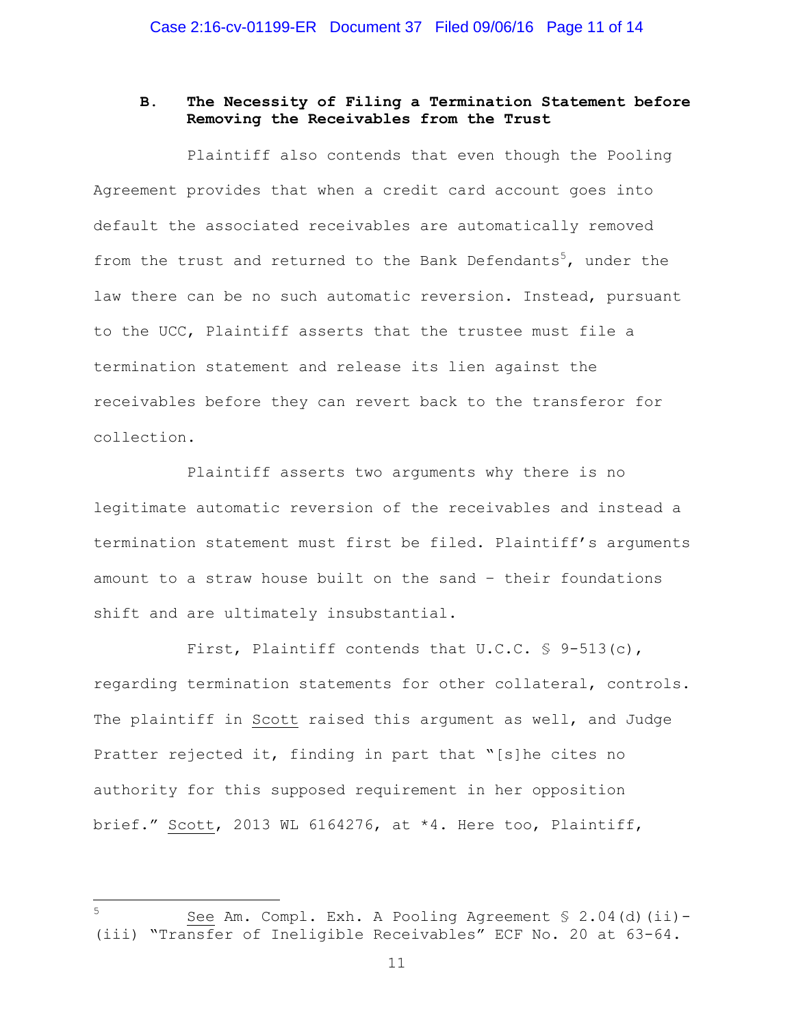## **B. The Necessity of Filing a Termination Statement before Removing the Receivables from the Trust**

Plaintiff also contends that even though the Pooling Agreement provides that when a credit card account goes into default the associated receivables are automatically removed from the trust and returned to the Bank Defendants<sup>5</sup>, under the law there can be no such automatic reversion. Instead, pursuant to the UCC, Plaintiff asserts that the trustee must file a termination statement and release its lien against the receivables before they can revert back to the transferor for collection.

Plaintiff asserts two arguments why there is no legitimate automatic reversion of the receivables and instead a termination statement must first be filed. Plaintiff's arguments amount to a straw house built on the sand – their foundations shift and are ultimately insubstantial.

First, Plaintiff contends that  $U.C.C. \$  § 9-513(c), regarding termination statements for other collateral, controls. The plaintiff in Scott raised this argument as well, and Judge Pratter rejected it, finding in part that "[s]he cites no authority for this supposed requirement in her opposition brief." Scott, 2013 WL 6164276, at \*4. Here too, Plaintiff,

÷.

<sup>5</sup> See Am. Compl. Exh. A Pooling Agreement § 2.04(d)(ii)- (iii) "Transfer of Ineligible Receivables" ECF No. 20 at 63-64.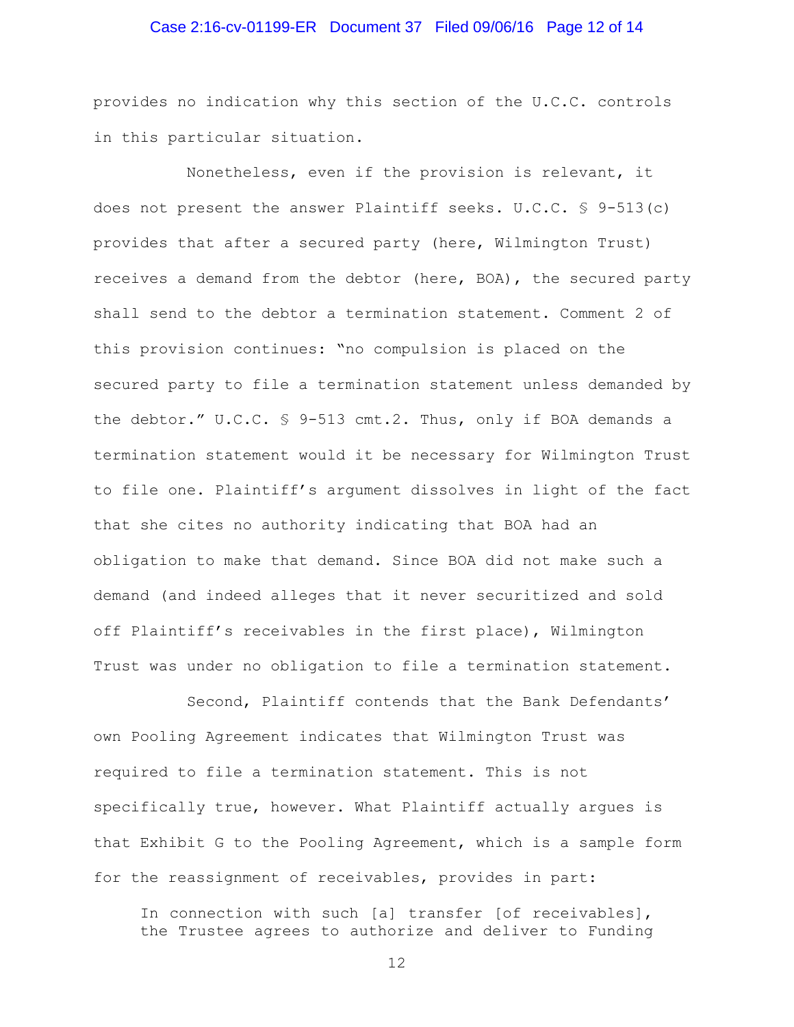## Case 2:16-cv-01199-ER Document 37 Filed 09/06/16 Page 12 of 14

provides no indication why this section of the U.C.C. controls in this particular situation.

Nonetheless, even if the provision is relevant, it does not present the answer Plaintiff seeks. U.C.C. § 9-513(c) provides that after a secured party (here, Wilmington Trust) receives a demand from the debtor (here, BOA), the secured party shall send to the debtor a termination statement. Comment 2 of this provision continues: "no compulsion is placed on the secured party to file a termination statement unless demanded by the debtor." U.C.C. § 9-513 cmt.2. Thus, only if BOA demands a termination statement would it be necessary for Wilmington Trust to file one. Plaintiff's argument dissolves in light of the fact that she cites no authority indicating that BOA had an obligation to make that demand. Since BOA did not make such a demand (and indeed alleges that it never securitized and sold off Plaintiff's receivables in the first place), Wilmington Trust was under no obligation to file a termination statement.

Second, Plaintiff contends that the Bank Defendants' own Pooling Agreement indicates that Wilmington Trust was required to file a termination statement. This is not specifically true, however. What Plaintiff actually argues is that Exhibit G to the Pooling Agreement, which is a sample form for the reassignment of receivables, provides in part:

In connection with such [a] transfer [of receivables], the Trustee agrees to authorize and deliver to Funding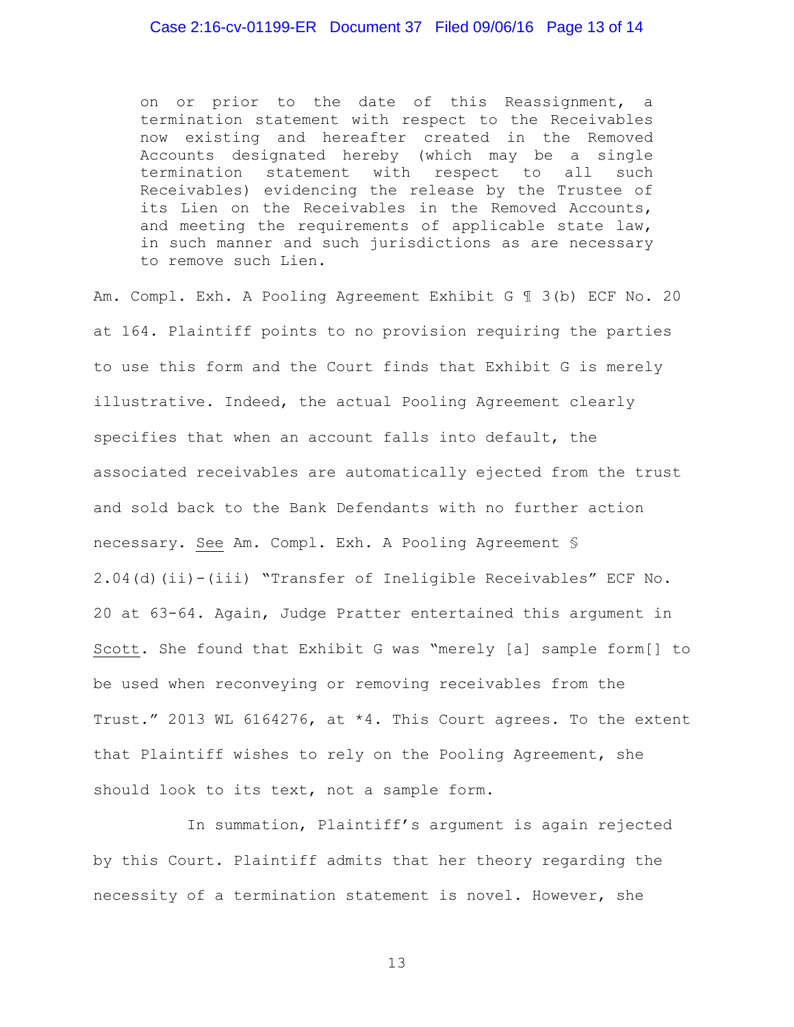## Case 2:16-cv-01199-ER Document 37 Filed 09/06/16 Page 13 of 14

on or prior to the date of this Reassignment, a termination statement with respect to the Receivables now existing and hereafter created in the Removed Accounts designated hereby (which may be a single termination statement with respect to all such Receivables) evidencing the release by the Trustee of its Lien on the Receivables in the Removed Accounts, and meeting the requirements of applicable state law, in such manner and such jurisdictions as are necessary to remove such Lien.

Am. Compl. Exh. A Pooling Agreement Exhibit G ¶ 3(b) ECF No. 20 at 164. Plaintiff points to no provision requiring the parties to use this form and the Court finds that Exhibit G is merely illustrative. Indeed, the actual Pooling Agreement clearly specifies that when an account falls into default, the associated receivables are automatically ejected from the trust and sold back to the Bank Defendants with no further action necessary. See Am. Compl. Exh. A Pooling Agreement § 2.04(d)(ii)-(iii) "Transfer of Ineligible Receivables" ECF No. 20 at 63-64. Again, Judge Pratter entertained this argument in Scott. She found that Exhibit G was "merely [a] sample form[] to be used when reconveying or removing receivables from the Trust." 2013 WL 6164276, at \*4. This Court agrees. To the extent that Plaintiff wishes to rely on the Pooling Agreement, she should look to its text, not a sample form.

In summation, Plaintiff's argument is again rejected by this Court. Plaintiff admits that her theory regarding the necessity of a termination statement is novel. However, she